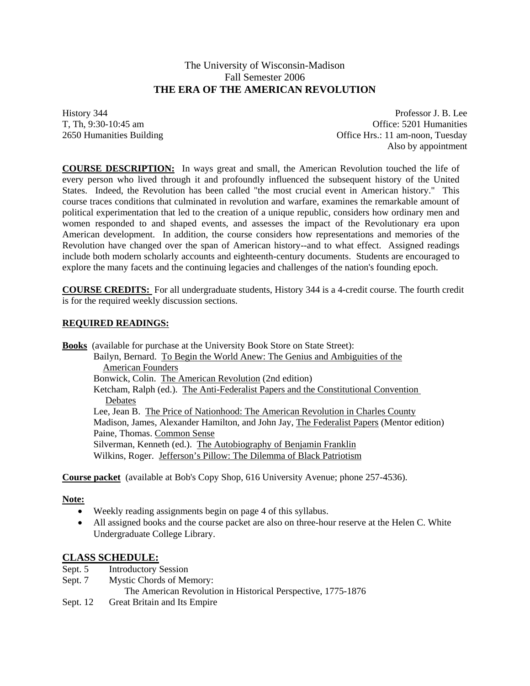# The University of Wisconsin-Madison Fall Semester 2006  **THE ERA OF THE AMERICAN REVOLUTION**

History 344 Professor J. B. Lee T, Th, 9:30-10:45 am Office: 5201 Humanities 2650 Humanities Building Office Hrs.: 11 am-noon, Tuesday Also by appointment

**COURSE DESCRIPTION:** In ways great and small, the American Revolution touched the life of every person who lived through it and profoundly influenced the subsequent history of the United States. Indeed, the Revolution has been called "the most crucial event in American history." This course traces conditions that culminated in revolution and warfare, examines the remarkable amount of political experimentation that led to the creation of a unique republic, considers how ordinary men and women responded to and shaped events, and assesses the impact of the Revolutionary era upon American development. In addition, the course considers how representations and memories of the Revolution have changed over the span of American history--and to what effect. Assigned readings include both modern scholarly accounts and eighteenth-century documents. Students are encouraged to explore the many facets and the continuing legacies and challenges of the nation's founding epoch.

**COURSE CREDITS:** For all undergraduate students, History 344 is a 4-credit course. The fourth credit is for the required weekly discussion sections.

## **REQUIRED READINGS:**

**Books** (available for purchase at the University Book Store on State Street): Bailyn, Bernard. To Begin the World Anew: The Genius and Ambiguities of the American Founders Bonwick, Colin. The **American Revolution** (2nd edition) Ketcham, Ralph (ed.). The Anti-Federalist Papers and the Constitutional Convention **Debates**  Lee, Jean B. The Price of Nationhood: The American Revolution in Charles County Madison, James, Alexander Hamilton, and John Jay, The Federalist Papers (Mentor edition) Paine, Thomas. Common Sense Silverman, Kenneth (ed.). The Autobiography of Benjamin Franklin Wilkins, Roger. Jefferson's Pillow: The Dilemma of Black Patriotism

**Course packet** (available at Bob's Copy Shop, 616 University Avenue; phone 257-4536).

#### **Note:**

- Weekly reading assignments begin on page 4 of this syllabus.
- All assigned books and the course packet are also on three-hour reserve at the Helen C. White Undergraduate College Library.

## **CLASS SCHEDULE:**

- Sept. 5 Introductory Session
- Sept. 7 Mystic Chords of Memory:
	- The American Revolution in Historical Perspective, 1775-1876
- Sept. 12 Great Britain and Its Empire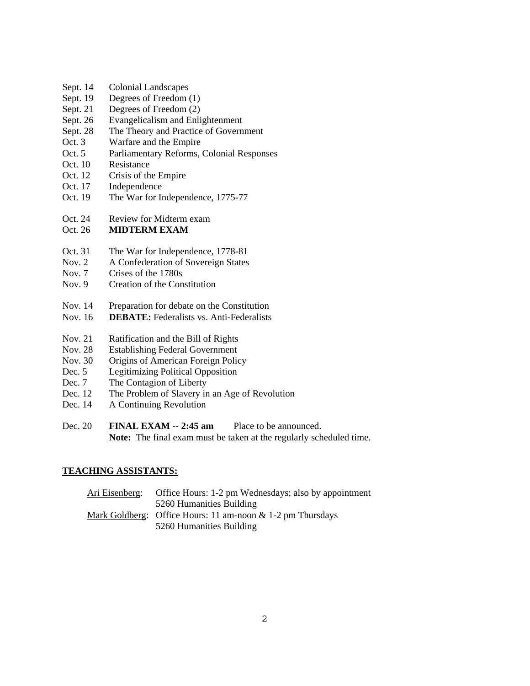- Sept. 14 Colonial Landscapes
- Sept. 19 Degrees of Freedom (1)
- Sept. 21 Degrees of Freedom (2)
- Sept. 26 Evangelicalism and Enlightenment
- Sept. 28 The Theory and Practice of Government
- Oct. 3 Warfare and the Empire
- Oct. 5 Parliamentary Reforms, Colonial Responses
- Oct. 10 Resistance
- Oct. 12 Crisis of the Empire
- Oct. 17 Independence
- Oct. 19 The War for Independence, 1775-77
- Oct. 24 Review for Midterm exam

### Oct. 26 **MIDTERM EXAM**

- Oct. 31 The War for Independence, 1778-81
- Nov. 2 A Confederation of Sovereign States
- Nov. 7 Crises of the 1780s
- Nov. 9 Creation of the Constitution
- Nov. 14 Preparation for debate on the Constitution
- Nov. 16 **DEBATE:** Federalists vs. Anti-Federalists
- Nov. 21 Ratification and the Bill of Rights
- Nov. 28 Establishing Federal Government
- Nov. 30 Origins of American Foreign Policy
- Dec. 5 Legitimizing Political Opposition
- Dec. 7 The Contagion of Liberty
- Dec. 12 The Problem of Slavery in an Age of Revolution
- Dec. 14 A Continuing Revolution
- Dec. 20 **FINAL EXAM -- 2:45 am** Place to be announced. **Note:** The final exam must be taken at the regularly scheduled time.

### **TEACHING ASSISTANTS:**

| Office Hours: 1-2 pm Wednesdays; also by appointment          |
|---------------------------------------------------------------|
| 5260 Humanities Building                                      |
| Mark Goldberg: Office Hours: 11 am-noon $\&$ 1-2 pm Thursdays |
| 5260 Humanities Building                                      |
|                                                               |